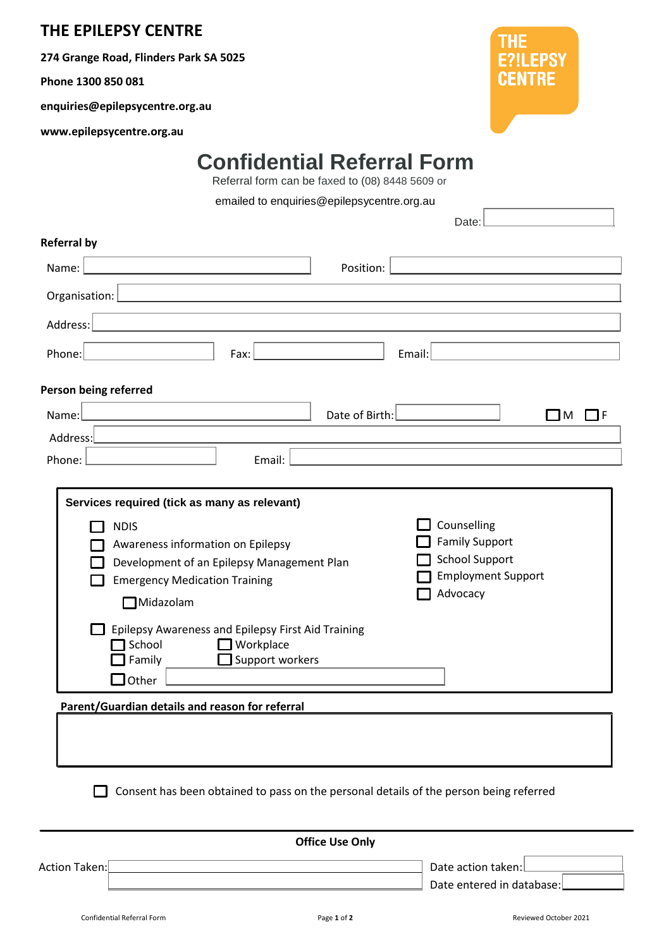## **THE EPILEPSY CENTRE**

**274 Grange Road, Flinders Park SA 5025**

**Phone 1300 850 081**

**enquiries@epilepsycentre.org.au**

**www.epilepsycentre.org.au**



## **Confidential Referral Form**

Referral form can be faxed to (08) 8448 5609 or

emailed to enquiries@epilepsycentre.org.au

|                                                 |                                                                                                                                                                                                                                |                | Date:                                                                                   |                  |
|-------------------------------------------------|--------------------------------------------------------------------------------------------------------------------------------------------------------------------------------------------------------------------------------|----------------|-----------------------------------------------------------------------------------------|------------------|
| <b>Referral by</b>                              |                                                                                                                                                                                                                                |                |                                                                                         |                  |
| Name:                                           |                                                                                                                                                                                                                                | Position:      |                                                                                         |                  |
| Organisation: $\lfloor$                         | <u> 1980 - Jan Sterling von Berger von Berger von Berger von Berger von Berger von Berger von Berger von Berger</u>                                                                                                            |                |                                                                                         |                  |
| Address:                                        |                                                                                                                                                                                                                                |                |                                                                                         |                  |
|                                                 | Fax:                                                                                                                                                                                                                           |                |                                                                                         |                  |
| Phone:                                          |                                                                                                                                                                                                                                |                | Email:                                                                                  |                  |
| Person being referred                           |                                                                                                                                                                                                                                |                |                                                                                         |                  |
| Name:                                           |                                                                                                                                                                                                                                | Date of Birth: |                                                                                         | $\square$ M<br>F |
| Address:                                        |                                                                                                                                                                                                                                |                |                                                                                         |                  |
| Phone:                                          | Email:                                                                                                                                                                                                                         |                |                                                                                         |                  |
| Midazolam<br>School<br>Family<br>Other          | Awareness information on Epilepsy<br>Development of an Epilepsy Management Plan<br><b>Emergency Medication Training</b><br>Epilepsy Awareness and Epilepsy First Aid Training<br>$\Box$ Workplace<br>Support workers<br>$\Box$ |                | <b>Family Support</b><br><b>School Support</b><br><b>Employment Support</b><br>Advocacy |                  |
| Parent/Guardian details and reason for referral |                                                                                                                                                                                                                                |                |                                                                                         |                  |
|                                                 |                                                                                                                                                                                                                                |                | Consent has been obtained to pass on the personal details of the person being referred  |                  |
|                                                 |                                                                                                                                                                                                                                |                |                                                                                         |                  |

Action Taken: Date action taken:

**Office Use Only**